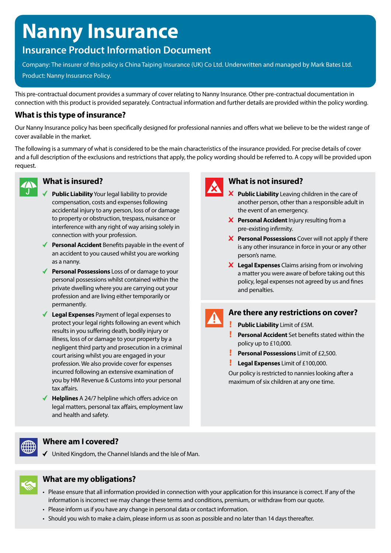# **Nanny Insurance**

# **Insurance Product Information Document**

Company: The insurer of this policy is China Taiping Insurance (UK) Co Ltd. Underwritten and managed by Mark Bates Ltd. Product: Nanny Insurance Policy.

This pre-contractual document provides a summary of cover relating to Nanny Insurance. Other pre-contractual documentation in connection with this product is provided separately. Contractual information and further details are provided within the policy wording.

#### **What is this type of insurance?**

Our Nanny Insurance policy has been specifically designed for professional nannies and offers what we believe to be the widest range of cover available in the market.

The following is a summary of what is considered to be the main characteristics of the insurance provided. For precise details of cover and a full description of the exclusions and restrictions that apply, the policy wording should be referred to. A copy will be provided upon request.



#### **What is insured?**

- **Public Liability** Your legal liability to provide compensation, costs and expenses following accidental injury to any person, loss of or damage to property or obstruction, trespass, nuisance or interference with any right of way arising solely in connection with your profession.
- ◆ **Personal Accident** Benefits payable in the event of an accident to you caused whilst you are working as a nanny.
- ◆ **Personal Possessions** Loss of or damage to your personal possessions whilst contained within the private dwelling where you are carrying out your profession and are living either temporarily or permanently.
- **Legal Expenses** Payment of legal expenses to protect your legal rights following an event which results in you suffering death, bodily injury or illness, loss of or damage to your property by a negligent third party and prosecution in a criminal court arising whilst you are engaged in your profession. We also provide cover for expenses incurred following an extensive examination of you by HM Revenue & Customs into your personal tax affairs.
- **Helplines** A 24/7 helpline which offers advice on legal matters, personal tax affairs, employment law and health and safety.



## **What is not insured?**

- **X** Public Liability Leaving children in the care of another person, other than a responsible adult in the event of an emergency.
- **X** Personal Accident Injury resulting from a pre-existing infirmity.
- **X** Personal Possessions Cover will not apply if there is any other insurance in force in your or any other person's name.
- **Legal Expenses** Claims arising from or involving a matter you were aware of before taking out this policy, legal expenses not agreed by us and fines and penalties.



#### **Are there any restrictions on cover?**

**Public Liability** Limit of £5M.

- **Personal Accident** Set benefits stated within the policy up to £10,000.
- **Personal Possessions** Limit of £2,500.
- **Legal Expenses** Limit of £100,000.

Our policy is restricted to nannies looking after a maximum of six children at any one time.



#### **Where am I covered?**

 $\checkmark$  United Kingdom, the Channel Islands and the Isle of Man.



### **What are my obligations?**

- Please ensure that all information provided in connection with your application for this insurance is correct. If any of the information is incorrect we may change these terms and conditions, premium, or withdraw from our quote.
- Please inform us if you have any change in personal data or contact information.
- Should you wish to make a claim, please inform us as soon as possible and no later than 14 days thereafter.